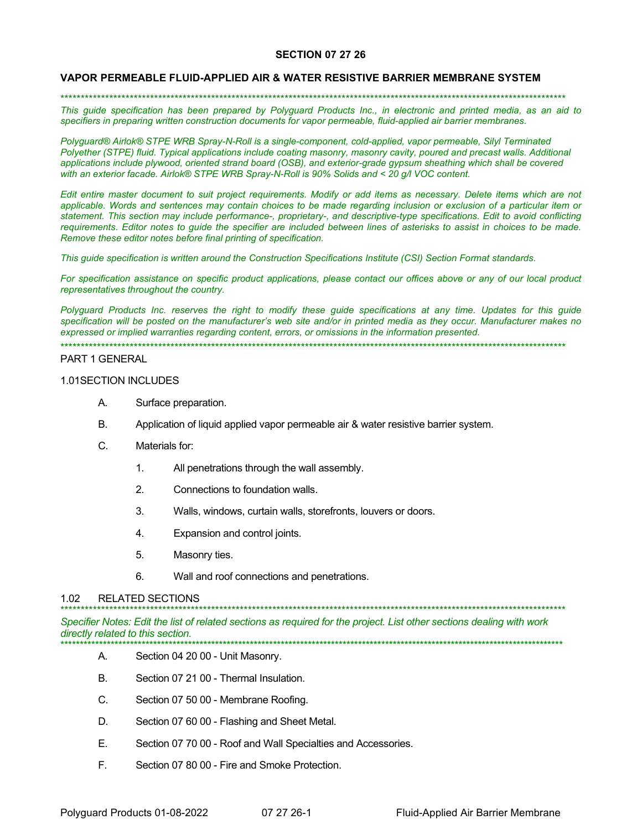## **SECTION 07 27 26**

### **VAPOR PERMEABLE FLUID-APPLIED AIR & WATER RESISTIVE BARRIER MEMBRANE SYSTEM**

\*\*\*\*\*\*\*\*\*\*\*\*\*\*\*\*\*\*\*\*\*\*\*\*\*\*\*\*\*\*\*\*\*\*\*\*\*\*\*\*\*\*\*\*\*\*\*\*\*\*\*\*\*\*\*\*\*\*\*\*\*\*\*\*\*\*\*\*\*\*\*\*\*\*\*\*\*\*\*\*\*\*\*\*\*\*\*\*\*\*\*\*\*\*\*\*\*\*\*\*\*\*\*\*\*\*\*\*\*\*\*\*\*\*\*\*\*\*\*\*\*\*\*\*

*This guide specification has been prepared by Polyguard Products Inc., in electronic and printed media, as an aid to specifiers in preparing written construction documents for vapor permeable, fluid-applied air barrier membranes.* 

*Polyguard® Airlok® STPE WRB Spray-N-Roll is a single-component, cold-applied, vapor permeable, Silyl Terminated Polyether (STPE) fluid. Typical applications include coating masonry, masonry cavity, poured and precast walls. Additional applications include plywood, oriented strand board (OSB), and exterior-grade gypsum sheathing which shall be covered with an exterior facade. Airlok® STPE WRB Spray-N-Roll is 90% Solids and < 20 g/l VOC content.*

*Edit entire master document to suit project requirements. Modify or add items as necessary. Delete items which are not applicable. Words and sentences may contain choices to be made regarding inclusion or exclusion of a particular item or statement. This section may include performance-, proprietary-, and descriptive-type specifications. Edit to avoid conflicting requirements. Editor notes to guide the specifier are included between lines of asterisks to assist in choices to be made. Remove these editor notes before final printing of specification.*

*This guide specification is written around the Construction Specifications Institute (CSI) Section Format standards.* 

*For specification assistance on specific product applications, please contact our offices above or any of our local product representatives throughout the country.* 

*Polyguard Products Inc. reserves the right to modify these guide specifications at any time. Updates for this guide specification will be posted on the manufacturer's web site and/or in printed media as they occur. Manufacturer makes no expressed or implied warranties regarding content, errors, or omissions in the information presented.*

\*\*\*\*\*\*\*\*\*\*\*\*\*\*\*\*\*\*\*\*\*\*\*\*\*\*\*\*\*\*\*\*\*\*\*\*\*\*\*\*\*\*\*\*\*\*\*\*\*\*\*\*\*\*\*\*\*\*\*\*\*\*\*\*\*\*\*\*\*\*\*\*\*\*\*\*\*\*\*\*\*\*\*\*\*\*\*\*\*\*\*\*\*\*\*\*\*\*\*\*\*\*\*\*\*\*\*\*\*\*\*\*\*\*\*\*\*\*\*\*\*\*\*\*

#### PART 1 GENERAL

# 1.01SECTION INCLUDES

- A. Surface preparation.
- B. Application of liquid applied vapor permeable air & water resistive barrier system.
- C. Materials for:
	- 1. All penetrations through the wall assembly.
	- 2. Connections to foundation walls.
	- 3. Walls, windows, curtain walls, storefronts, louvers or doors.
	- 4. Expansion and control joints.
	- 5. Masonry ties.
	- 6. Wall and roof connections and penetrations.

#### 1.02 RELATED SECTIONS

*Specifier Notes: Edit the list of related sections as required for the project. List other sections dealing with work directly related to this section.*

\*\*\*\*\*\*\*\*\*\*\*\*\*\*\*\*\*\*\*\*\*\*\*\*\*\*\*\*\*\*\*\*\*\*\*\*\*\*\*\*\*\*\*\*\*\*\*\*\*\*\*\*\*\*\*\*\*\*\*\*\*\*\*\*\*\*\*\*\*\*\*\*\*\*\*\*\*\*\*\*\*\*\*\*\*\*\*\*\*\*\*\*\*\*\*\*\*\*\*\*\*\*\*\*\*\*\*\*\*\*\*\*\*\*\*\*\*\*\*\*\*\*\*\*

- \*\*\*\*\*\*\*\*\*\*\*\*\*\*\*\*\*\*\*\*\*\*\*\*\*\*\*\*\*\*\*\*\*\*\*\*\*\*\*\*\*\*\*\*\*\*\*\*\*\*\*\*\*\*\*\*\*\*\*\*\*\*\*\*\*\*\*\*\*\*\*\*\*\*\*\*\*\*\*\*\*\*\*\*\*\*\*\*\*\*\*\*\*\*\*\*\*\*\*\*\*\*\*\*\*\*\*\*\*\*\*\*\*\*\*\*\*\*\*\*\*\*\*\*\*\*\*\*\*\* Section 04 20 00 - Unit Masonry.
- B. Section 07 21 00 Thermal Insulation.
- C. Section 07 50 00 Membrane Roofing.
- D. Section 07 60 00 Flashing and Sheet Metal.
- E. Section 07 70 00 Roof and Wall Specialties and Accessories.
- F. Section 07 80 00 Fire and Smoke Protection.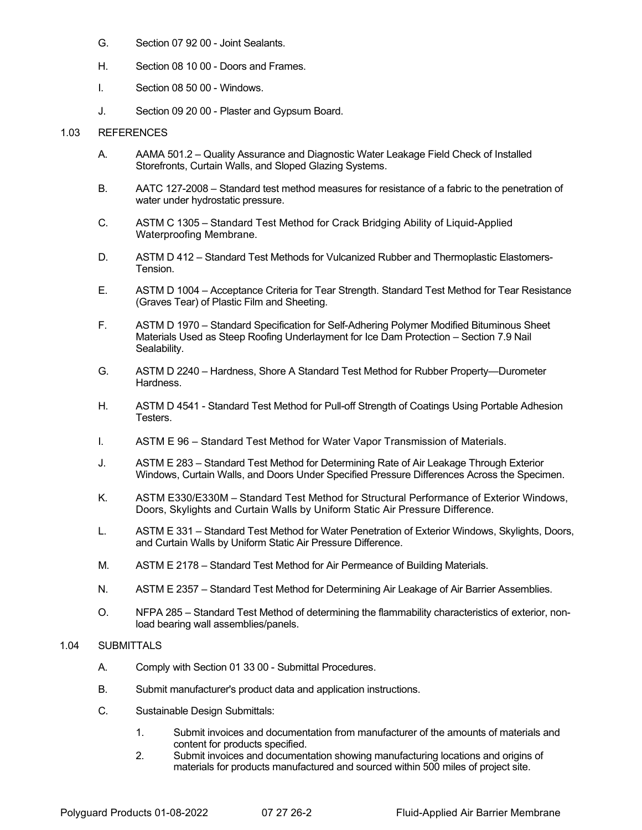- G. Section 07 92 00 Joint Sealants.
- H. Section 08 10 00 Doors and Frames.
- I. Section 08 50 00 Windows.
- J. Section 09 20 00 Plaster and Gypsum Board.

### 1.03 REFERENCES

- A. AAMA 501.2 Quality Assurance and Diagnostic Water Leakage Field Check of Installed Storefronts, Curtain Walls, and Sloped Glazing Systems.
- B. AATC 127-2008 Standard test method measures for resistance of a fabric to the penetration of water under hydrostatic pressure.
- C. ASTM C 1305 Standard Test Method for Crack Bridging Ability of Liquid-Applied Waterproofing Membrane.
- D. ASTM D 412 Standard Test Methods for Vulcanized Rubber and Thermoplastic Elastomers-Tension.
- E. ASTM D 1004 Acceptance Criteria for Tear Strength. Standard Test Method for Tear Resistance (Graves Tear) of Plastic Film and Sheeting.
- F. ASTM D 1970 Standard Specification for Self-Adhering Polymer Modified Bituminous Sheet Materials Used as Steep Roofing Underlayment for Ice Dam Protection – Section 7.9 Nail Sealability.
- G. ASTM D 2240 Hardness, Shore A Standard Test Method for Rubber Property—Durometer Hardness.
- H. ASTM D 4541 Standard Test Method for Pull-off Strength of Coatings Using Portable Adhesion Testers.
- I. ASTM E 96 Standard Test Method for Water Vapor Transmission of Materials.
- J. ASTM E 283 Standard Test Method for Determining Rate of Air Leakage Through Exterior Windows, Curtain Walls, and Doors Under Specified Pressure Differences Across the Specimen.
- K. ASTM E330/E330M Standard Test Method for Structural Performance of Exterior Windows, Doors, Skylights and Curtain Walls by Uniform Static Air Pressure Difference.
- L. ASTM E 331 Standard Test Method for Water Penetration of Exterior Windows, Skylights, Doors, and Curtain Walls by Uniform Static Air Pressure Difference.
- M. ASTM E 2178 Standard Test Method for Air Permeance of Building Materials.
- N. ASTM E 2357 Standard Test Method for Determining Air Leakage of Air Barrier Assemblies.
- O. NFPA 285 Standard Test Method of determining the flammability characteristics of exterior, nonload bearing wall assemblies/panels.

## 1.04 SUBMITTALS

- A. Comply with Section 01 33 00 Submittal Procedures.
- B. Submit manufacturer's product data and application instructions.
- C. Sustainable Design Submittals:
	- 1. Submit invoices and documentation from manufacturer of the amounts of materials and content for products specified.
	- 2. Submit invoices and documentation showing manufacturing locations and origins of materials for products manufactured and sourced within 500 miles of project site.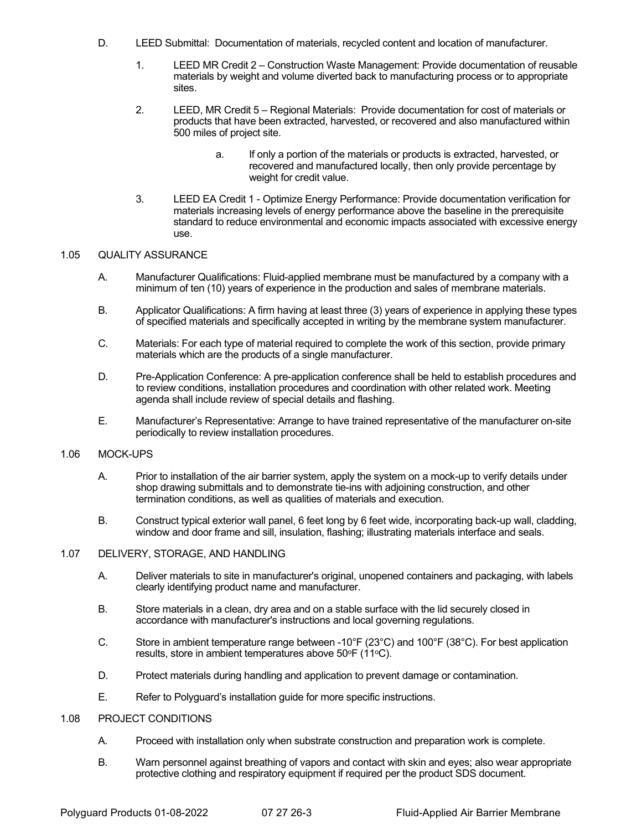- D. LEED Submittal: Documentation of materials, recycled content and location of manufacturer.
	- 1. LEED MR Credit 2 Construction Waste Management: Provide documentation of reusable materials by weight and volume diverted back to manufacturing process or to appropriate sites.
	- 2. LEED, MR Credit 5 Regional Materials: Provide documentation for cost of materials or products that have been extracted, harvested, or recovered and also manufactured within 500 miles of project site.
		- a. If only a portion of the materials or products is extracted, harvested, or recovered and manufactured locally, then only provide percentage by weight for credit value.
	- 3. LEED EA Credit 1 Optimize Energy Performance: Provide documentation verification for materials increasing levels of energy performance above the baseline in the prerequisite standard to reduce environmental and economic impacts associated with excessive energy use.

## 1.05 QUALITY ASSURANCE

- A. Manufacturer Qualifications: Fluid-applied membrane must be manufactured by a company with a minimum of ten (10) years of experience in the production and sales of membrane materials.
- B. Applicator Qualifications: A firm having at least three (3) years of experience in applying these types of specified materials and specifically accepted in writing by the membrane system manufacturer.
- C. Materials: For each type of material required to complete the work of this section, provide primary materials which are the products of a single manufacturer.
- D. Pre-Application Conference: A pre-application conference shall be held to establish procedures and to review conditions, installation procedures and coordination with other related work. Meeting agenda shall include review of special details and flashing.
- E. Manufacturer's Representative: Arrange to have trained representative of the manufacturer on-site periodically to review installation procedures.

## 1.06 MOCK-UPS

- A. Prior to installation of the air barrier system, apply the system on a mock-up to verify details under shop drawing submittals and to demonstrate tie-ins with adjoining construction, and other termination conditions, as well as qualities of materials and execution.
- B. Construct typical exterior wall panel, 6 feet long by 6 feet wide, incorporating back-up wall, cladding, window and door frame and sill, insulation, flashing; illustrating materials interface and seals.

## 1.07 DELIVERY, STORAGE, AND HANDLING

- A. Deliver materials to site in manufacturer's original, unopened containers and packaging, with labels clearly identifying product name and manufacturer.
- B. Store materials in a clean, dry area and on a stable surface with the lid securely closed in accordance with manufacturer's instructions and local governing regulations.
- C. Store in ambient temperature range between -10°F (23°C) and 100°F (38°C). For best application results, store in ambient temperatures above 50°F (11°C).
- D. Protect materials during handling and application to prevent damage or contamination.
- E. Refer to Polyguard's installation guide for more specific instructions.

## 1.08 PROJECT CONDITIONS

- A. Proceed with installation only when substrate construction and preparation work is complete.
- B. Warn personnel against breathing of vapors and contact with skin and eyes; also wear appropriate protective clothing and respiratory equipment if required per the product SDS document.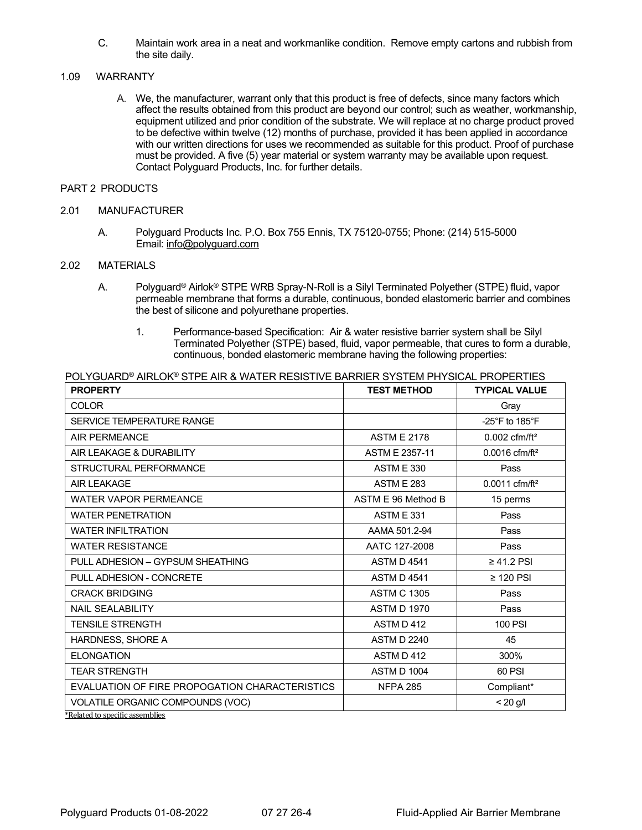C. Maintain work area in a neat and workmanlike condition. Remove empty cartons and rubbish from the site daily.

## 1.09 WARRANTY

A. We, the manufacturer, warrant only that this product is free of defects, since many factors which affect the results obtained from this product are beyond our control; such as weather, workmanship, equipment utilized and prior condition of the substrate. We will replace at no charge product proved to be defective within twelve (12) months of purchase, provided it has been applied in accordance with our written directions for uses we recommended as suitable for this product. Proof of purchase must be provided. A five (5) year material or system warranty may be available upon request. Contact Polyguard Products, Inc. for further details.

## PART 2 PRODUCTS

### 2.01 MANUFACTURER

A. Polyguard Products Inc. P.O. Box 755 Ennis, TX 75120-0755; Phone: (214) 515-5000 Email: [info@polyguard.com](mailto:info@polyguard.com)

POLYGUARD® AIRLOK® STPE AIR & WATER RESISTIVE BARRIER SYSTEM PHYSICAL PROPERTIES

## 2.02 MATERIALS

- A. Polyguard® Airlok® STPE WRB Spray-N-Roll is a Silyl Terminated Polyether (STPE) fluid, vapor permeable membrane that forms a durable, continuous, bonded elastomeric barrier and combines the best of silicone and polyurethane properties.
	- 1. Performance-based Specification: Air & water resistive barrier system shall be Silyl Terminated Polyether (STPE) based, fluid, vapor permeable, that cures to form a durable, continuous, bonded elastomeric membrane having the following properties:

| <b>PROPERTY</b>                                | <b>TEST METHOD</b>    | <b>TYPICAL VALUE</b>               |
|------------------------------------------------|-----------------------|------------------------------------|
| <b>COLOR</b>                                   |                       | Gray                               |
| SERVICE TEMPERATURE RANGE                      |                       | -25 $\degree$ F to 185 $\degree$ F |
| <b>AIR PERMEANCE</b>                           | <b>ASTM E 2178</b>    | $0.002$ cfm/ft <sup>2</sup>        |
| AIR LEAKAGE & DURABILITY                       | <b>ASTM E 2357-11</b> | $0.0016$ cfm/ft <sup>2</sup>       |
| STRUCTURAL PERFORMANCE                         | <b>ASTM E 330</b>     | Pass                               |
| <b>AIR LEAKAGE</b>                             | <b>ASTM E 283</b>     | $0.0011$ cfm/ft <sup>2</sup>       |
| <b>WATER VAPOR PERMEANCE</b>                   | ASTM E 96 Method B    | 15 perms                           |
| <b>WATER PENETRATION</b>                       | <b>ASTM E 331</b>     | Pass                               |
| <b>WATER INFILTRATION</b>                      | AAMA 501.2-94         | Pass                               |
| <b>WATER RESISTANCE</b>                        | AATC 127-2008         | Pass                               |
| PULL ADHESION - GYPSUM SHEATHING               | <b>ASTM D 4541</b>    | $\geq 41.2$ PSI                    |
| PULL ADHESION - CONCRETE                       | <b>ASTM D 4541</b>    | $\geq$ 120 PSI                     |
| <b>CRACK BRIDGING</b>                          | <b>ASTM C 1305</b>    | Pass                               |
| <b>NAIL SEALABILITY</b>                        | <b>ASTM D 1970</b>    | Pass                               |
| <b>TENSILE STRENGTH</b>                        | ASTM D412             | 100 PSI                            |
| HARDNESS, SHORE A                              | <b>ASTM D 2240</b>    | 45                                 |
| <b>ELONGATION</b>                              | ASTM D 412            | 300%                               |
| <b>TEAR STRENGTH</b>                           | <b>ASTM D 1004</b>    | 60 PSI                             |
| EVALUATION OF FIRE PROPOGATION CHARACTERISTICS | <b>NFPA 285</b>       | Compliant*                         |
| VOLATILE ORGANIC COMPOUNDS (VOC)               |                       | $< 20$ g/l                         |
| *Related to specific assemblies                |                       |                                    |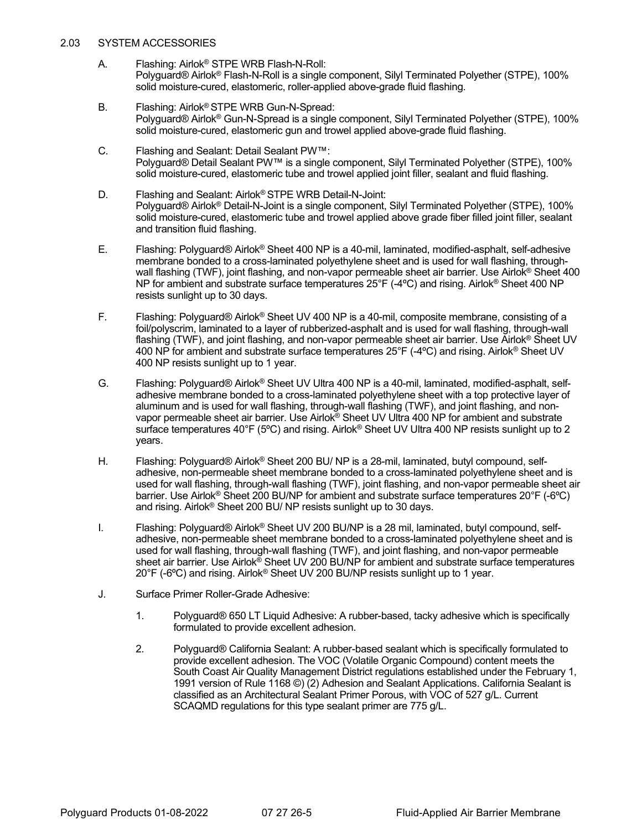## 2.03 SYSTEM ACCESSORIES

- A. Flashing: Airlok® STPE WRB Flash-N-Roll: Polyguard® Airlok® Flash-N-Roll is a single component, Silyl Terminated Polyether (STPE), 100% solid moisture-cured, elastomeric, roller-applied above-grade fluid flashing.
- B. Flashing: Airlok® STPE WRB Gun-N-Spread: Polyguard® Airlok® Gun-N-Spread is a single component, Silyl Terminated Polyether (STPE), 100% solid moisture-cured, elastomeric gun and trowel applied above-grade fluid flashing.
- C. Flashing and Sealant: Detail Sealant PW™: Polyguard® Detail Sealant PW™ is a single component, Silyl Terminated Polyether (STPE), 100% solid moisture-cured, elastomeric tube and trowel applied joint filler, sealant and fluid flashing.
- D. Flashing and Sealant: Airlok® STPE WRB Detail-N-Joint: Polyguard® Airlok® Detail-N-Joint is a single component, Silyl Terminated Polyether (STPE), 100% solid moisture-cured, elastomeric tube and trowel applied above grade fiber filled joint filler, sealant and transition fluid flashing.
- E. Flashing: Polyguard® Airlok® Sheet 400 NP is a 40-mil, laminated, modified-asphalt, self-adhesive membrane bonded to a cross-laminated polyethylene sheet and is used for wall flashing, throughwall flashing (TWF), joint flashing, and non-vapor permeable sheet air barrier. Use Airlok® Sheet 400 NP for ambient and substrate surface temperatures 25°F (-4ºC) and rising. Airlok® Sheet 400 NP resists sunlight up to 30 days.
- F. Flashing: Polyguard® Airlok® Sheet UV 400 NP is a 40-mil, composite membrane, consisting of a foil/polyscrim, laminated to a layer of rubberized-asphalt and is used for wall flashing, through-wall flashing (TWF), and joint flashing, and non-vapor permeable sheet air barrier. Use Airlok<sup>®</sup> Sheet UV 400 NP for ambient and substrate surface temperatures 25°F (-4ºC) and rising. Airlok® Sheet UV 400 NP resists sunlight up to 1 year.
- G. Flashing: Polyguard® Airlok® Sheet UV Ultra 400 NP is a 40-mil, laminated, modified-asphalt, selfadhesive membrane bonded to a cross-laminated polyethylene sheet with a top protective layer of aluminum and is used for wall flashing, through-wall flashing (TWF), and joint flashing, and nonvapor permeable sheet air barrier. Use Airlok® Sheet UV Ultra 400 NP for ambient and substrate surface temperatures 40°F (5ºC) and rising. Airlok® Sheet UV Ultra 400 NP resists sunlight up to 2 years.
- H. Flashing: Polyguard® Airlok® Sheet 200 BU/ NP is a 28-mil, laminated, butyl compound, selfadhesive, non-permeable sheet membrane bonded to a cross-laminated polyethylene sheet and is used for wall flashing, through-wall flashing (TWF), joint flashing, and non-vapor permeable sheet air barrier. Use Airlok® Sheet 200 BU/NP for ambient and substrate surface temperatures 20°F (-6ºC) and rising. Airlok® Sheet 200 BU/ NP resists sunlight up to 30 days.
- I. Flashing: Polyguard® Airlok® Sheet UV 200 BU/NP is a 28 mil, laminated, butyl compound, selfadhesive, non-permeable sheet membrane bonded to a cross-laminated polyethylene sheet and is used for wall flashing, through-wall flashing (TWF), and joint flashing, and non-vapor permeable sheet air barrier. Use Airlok® Sheet UV 200 BU/NP for ambient and substrate surface temperatures 20°F (-6ºC) and rising. Airlok® Sheet UV 200 BU/NP resists sunlight up to 1 year.
- J. Surface Primer Roller-Grade Adhesive:
	- 1. Polyguard® 650 LT Liquid Adhesive: A rubber-based, tacky adhesive which is specifically formulated to provide excellent adhesion.
	- 2. Polyguard® California Sealant: A rubber-based sealant which is specifically formulated to provide excellent adhesion. The VOC (Volatile Organic Compound) content meets the South Coast Air Quality Management District regulations established under the February 1, 1991 version of Rule 1168 ©) (2) Adhesion and Sealant Applications. California Sealant is classified as an Architectural Sealant Primer Porous, with VOC of 527 g/L. Current SCAQMD regulations for this type sealant primer are 775 g/L.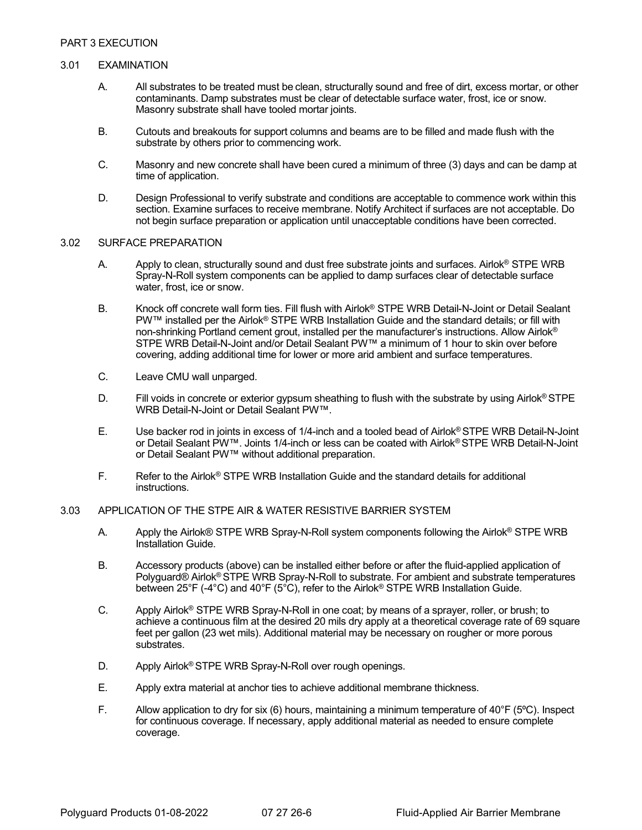## 3.01 EXAMINATION

- A. All substrates to be treated must be clean, structurally sound and free of dirt, excess mortar, or other contaminants. Damp substrates must be clear of detectable surface water, frost, ice or snow. Masonry substrate shall have tooled mortar joints.
- B. Cutouts and breakouts for support columns and beams are to be filled and made flush with the substrate by others prior to commencing work.
- C. Masonry and new concrete shall have been cured a minimum of three (3) days and can be damp at time of application.
- D. Design Professional to verify substrate and conditions are acceptable to commence work within this section. Examine surfaces to receive membrane. Notify Architect if surfaces are not acceptable. Do not begin surface preparation or application until unacceptable conditions have been corrected.

### 3.02 SURFACE PREPARATION

- A. Apply to clean, structurally sound and dust free substrate joints and surfaces. Airlok<sup>®</sup> STPE WRB Spray-N-Roll system components can be applied to damp surfaces clear of detectable surface water, frost, ice or snow.
- B. Knock off concrete wall form ties. Fill flush with Airlok® STPE WRB Detail-N-Joint or Detail Sealant PW™ installed per the Airlok® STPE WRB Installation Guide and the standard details; or fill with non-shrinking Portland cement grout, installed per the manufacturer's instructions. Allow Airlok<sup>®</sup> STPE WRB Detail-N-Joint and/or Detail Sealant PW™ a minimum of 1 hour to skin over before covering, adding additional time for lower or more arid ambient and surface temperatures.
- C. Leave CMU wall unparged.
- D. Fill voids in concrete or exterior gypsum sheathing to flush with the substrate by using Airlok<sup>®</sup> STPE WRB Detail-N-Joint or Detail Sealant PW™.
- E. Use backer rod in joints in excess of 1/4-inch and a tooled bead of Airlok® STPE WRB Detail-N-Joint or Detail Sealant PW™. Joints 1/4-inch or less can be coated with Airlok® STPE WRB Detail-N-Joint or Detail Sealant PW™ without additional preparation.
- F. Refer to the Airlok® STPE WRB Installation Guide and the standard details for additional instructions.

### 3.03 APPLICATION OF THE STPE AIR & WATER RESISTIVE BARRIER SYSTEM

- A. Apply the Airlok® STPE WRB Spray-N-Roll system components following the Airlok® STPE WRB Installation Guide.
- B. Accessory products (above) can be installed either before or after the fluid-applied application of Polyguard® Airlok® STPE WRB Spray-N-Roll to substrate. For ambient and substrate temperatures between 25°F (-4°C) and 40°F (5°C), refer to the Airlok® STPE WRB Installation Guide.
- C. Apply Airlok® STPE WRB Spray-N-Roll in one coat; by means of a sprayer, roller, or brush; to achieve a continuous film at the desired 20 mils dry apply at a theoretical coverage rate of 69 square feet per gallon (23 wet mils). Additional material may be necessary on rougher or more porous substrates.
- D. Apply Airlok® STPE WRB Spray-N-Roll over rough openings.
- E. Apply extra material at anchor ties to achieve additional membrane thickness.
- F. Allow application to dry for six (6) hours, maintaining a minimum temperature of 40°F (5ºC). Inspect for continuous coverage. If necessary, apply additional material as needed to ensure complete coverage.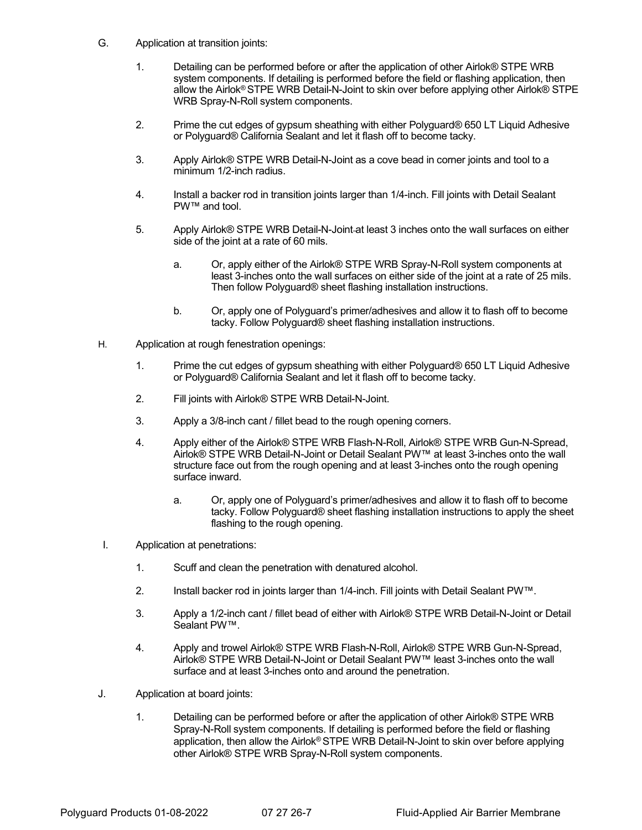- G. Application at transition joints:
	- 1. Detailing can be performed before or after the application of other Airlok® STPE WRB system components. If detailing is performed before the field or flashing application, then allow the Airlok® STPE WRB Detail-N-Joint to skin over before applying other Airlok® STPE WRB Spray-N-Roll system components.
	- 2. Prime the cut edges of gypsum sheathing with either Polyguard® 650 LT Liquid Adhesive or Polyguard® California Sealant and let it flash off to become tacky.
	- 3. Apply Airlok® STPE WRB Detail-N-Joint as a cove bead in corner joints and tool to a minimum 1/2-inch radius.
	- 4. Install a backer rod in transition joints larger than 1/4-inch. Fill joints with Detail Sealant PW™ and tool.
	- 5. Apply Airlok® STPE WRB Detail-N-Joint at least 3 inches onto the wall surfaces on either side of the joint at a rate of 60 mils.
		- a. Or, apply either of the Airlok® STPE WRB Spray-N-Roll system components at least 3-inches onto the wall surfaces on either side of the joint at a rate of 25 mils. Then follow Polyguard® sheet flashing installation instructions.
		- b. Or, apply one of Polyguard's primer/adhesives and allow it to flash off to become tacky. Follow Polyguard® sheet flashing installation instructions.
- H. Application at rough fenestration openings:
	- 1. Prime the cut edges of gypsum sheathing with either Polyguard® 650 LT Liquid Adhesive or Polyguard® California Sealant and let it flash off to become tacky.
	- 2. Fill joints with Airlok® STPE WRB Detail-N-Joint.
	- 3. Apply a 3/8-inch cant / fillet bead to the rough opening corners.
	- 4. Apply either of the Airlok® STPE WRB Flash-N-Roll, Airlok® STPE WRB Gun-N-Spread, Airlok® STPE WRB Detail-N-Joint or Detail Sealant PW™ at least 3-inches onto the wall structure face out from the rough opening and at least 3-inches onto the rough opening surface inward.
		- a. Or, apply one of Polyguard's primer/adhesives and allow it to flash off to become tacky. Follow Polyguard® sheet flashing installation instructions to apply the sheet flashing to the rough opening.
- I. Application at penetrations:
	- 1. Scuff and clean the penetration with denatured alcohol.
	- 2. Install backer rod in joints larger than 1/4-inch. Fill joints with Detail Sealant PW™.
	- 3. Apply a 1/2-inch cant / fillet bead of either with Airlok® STPE WRB Detail-N-Joint or Detail Sealant PW™.
	- 4. Apply and trowel Airlok® STPE WRB Flash-N-Roll, Airlok® STPE WRB Gun-N-Spread, Airlok® STPE WRB Detail-N-Joint or Detail Sealant PW™ least 3-inches onto the wall surface and at least 3-inches onto and around the penetration.
- J. Application at board joints:
	- 1. Detailing can be performed before or after the application of other Airlok® STPE WRB Spray-N-Roll system components. If detailing is performed before the field or flashing application, then allow the Airlok® STPE WRB Detail-N-Joint to skin over before applying other Airlok® STPE WRB Spray-N-Roll system components.